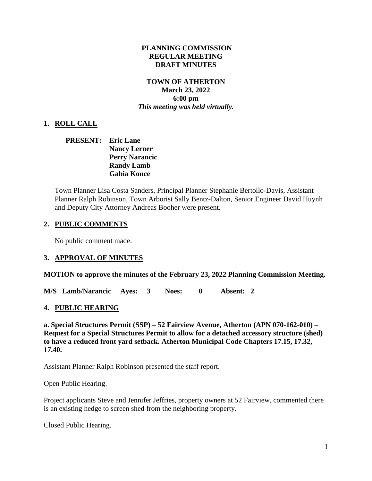### **PLANNING COMMISSION REGULAR MEETING DRAFT MINUTES**

### **TOWN OF ATHERTON March 23, 2022 6:00 pm** *This meeting was held virtually.*

## **1. ROLL CALL**

## **PRESENT: Eric Lane Nancy Lerner Perry Narancic Randy Lamb Gabia Konce**

Town Planner Lisa Costa Sanders, Principal Planner Stephanie Bertollo-Davis, Assistant Planner Ralph Robinson, Town Arborist Sally Bentz-Dalton, Senior Engineer David Huynh and Deputy City Attorney Andreas Booher were present.

## **2. PUBLIC COMMENTS**

No public comment made.

## **3. APPROVAL OF MINUTES**

#### **MOTION to approve the minutes of the February 23, 2022 Planning Commission Meeting.**

**M/S Lamb/Narancic Ayes: 3 Noes: 0 Absent: 2** 

## **4. PUBLIC HEARING**

**a. Special Structures Permit (SSP) – 52 Fairview Avenue, Atherton (APN 070-162-010) – Request for a Special Structures Permit to allow for a detached accessory structure (shed) to have a reduced front yard setback. Atherton Municipal Code Chapters 17.15, 17.32, 17.40.**

Assistant Planner Ralph Robinson presented the staff report.

Open Public Hearing.

Project applicants Steve and Jennifer Jeffries, property owners at 52 Fairview, commented there is an existing hedge to screen shed from the neighboring property.

Closed Public Hearing.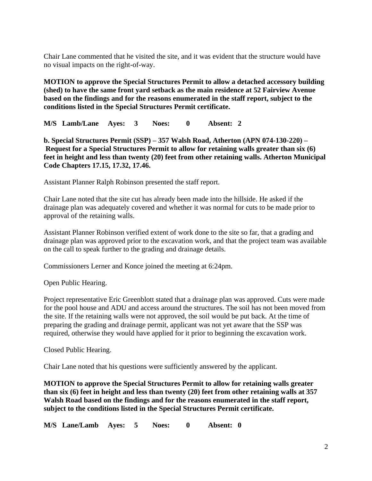Chair Lane commented that he visited the site, and it was evident that the structure would have no visual impacts on the right-of-way.

**MOTION to approve the Special Structures Permit to allow a detached accessory building (shed) to have the same front yard setback as the main residence at 52 Fairview Avenue based on the findings and for the reasons enumerated in the staff report, subject to the conditions listed in the Special Structures Permit certificate.**

**M/S Lamb/Lane Ayes: 3 Noes: 0 Absent: 2** 

**b. Special Structures Permit (SSP) – 357 Walsh Road, Atherton (APN 074-130-220) – Request for a Special Structures Permit to allow for retaining walls greater than six (6) feet in height and less than twenty (20) feet from other retaining walls. Atherton Municipal Code Chapters 17.15, 17.32, 17.46.**

Assistant Planner Ralph Robinson presented the staff report.

Chair Lane noted that the site cut has already been made into the hillside. He asked if the drainage plan was adequately covered and whether it was normal for cuts to be made prior to approval of the retaining walls.

Assistant Planner Robinson verified extent of work done to the site so far, that a grading and drainage plan was approved prior to the excavation work, and that the project team was available on the call to speak further to the grading and drainage details.

Commissioners Lerner and Konce joined the meeting at 6:24pm.

Open Public Hearing.

Project representative Eric Greenblott stated that a drainage plan was approved. Cuts were made for the pool house and ADU and access around the structures. The soil has not been moved from the site. If the retaining walls were not approved, the soil would be put back. At the time of preparing the grading and drainage permit, applicant was not yet aware that the SSP was required, otherwise they would have applied for it prior to beginning the excavation work.

Closed Public Hearing.

Chair Lane noted that his questions were sufficiently answered by the applicant.

**MOTION to approve the Special Structures Permit to allow for retaining walls greater than six (6) feet in height and less than twenty (20) feet from other retaining walls at 357 Walsh Road based on the findings and for the reasons enumerated in the staff report, subject to the conditions listed in the Special Structures Permit certificate.**

**M/S Lane/Lamb Ayes: 5 Noes: 0 Absent: 0**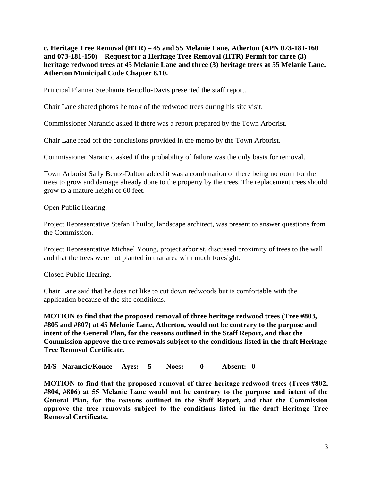**c. Heritage Tree Removal (HTR) – 45 and 55 Melanie Lane, Atherton (APN 073-181-160 and 073-181-150) – Request for a Heritage Tree Removal (HTR) Permit for three (3) heritage redwood trees at 45 Melanie Lane and three (3) heritage trees at 55 Melanie Lane. Atherton Municipal Code Chapter 8.10.**

Principal Planner Stephanie Bertollo-Davis presented the staff report.

Chair Lane shared photos he took of the redwood trees during his site visit.

Commissioner Narancic asked if there was a report prepared by the Town Arborist.

Chair Lane read off the conclusions provided in the memo by the Town Arborist.

Commissioner Narancic asked if the probability of failure was the only basis for removal.

Town Arborist Sally Bentz-Dalton added it was a combination of there being no room for the trees to grow and damage already done to the property by the trees. The replacement trees should grow to a mature height of 60 feet.

Open Public Hearing.

Project Representative Stefan Thuilot, landscape architect, was present to answer questions from the Commission.

Project Representative Michael Young, project arborist, discussed proximity of trees to the wall and that the trees were not planted in that area with much foresight.

Closed Public Hearing.

Chair Lane said that he does not like to cut down redwoods but is comfortable with the application because of the site conditions.

**MOTION to find that the proposed removal of three heritage redwood trees (Tree #803, #805 and #807) at 45 Melanie Lane, Atherton, would not be contrary to the purpose and intent of the General Plan, for the reasons outlined in the Staff Report, and that the Commission approve the tree removals subject to the conditions listed in the draft Heritage Tree Removal Certificate.**

**M/S Narancic/Konce Ayes: 5 Noes: 0 Absent: 0** 

**MOTION to find that the proposed removal of three heritage redwood trees (Trees #802, #804, #806) at 55 Melanie Lane would not be contrary to the purpose and intent of the General Plan, for the reasons outlined in the Staff Report, and that the Commission approve the tree removals subject to the conditions listed in the draft Heritage Tree Removal Certificate.**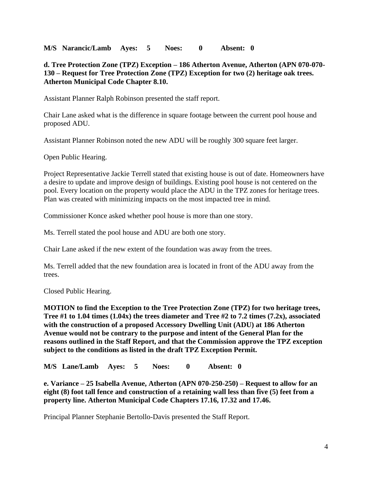**M/S Narancic/Lamb Ayes: 5 Noes: 0 Absent: 0** 

**d. Tree Protection Zone (TPZ) Exception – 186 Atherton Avenue, Atherton (APN 070-070- 130 – Request for Tree Protection Zone (TPZ) Exception for two (2) heritage oak trees. Atherton Municipal Code Chapter 8.10.**

Assistant Planner Ralph Robinson presented the staff report.

Chair Lane asked what is the difference in square footage between the current pool house and proposed ADU.

Assistant Planner Robinson noted the new ADU will be roughly 300 square feet larger.

Open Public Hearing.

Project Representative Jackie Terrell stated that existing house is out of date. Homeowners have a desire to update and improve design of buildings. Existing pool house is not centered on the pool. Every location on the property would place the ADU in the TPZ zones for heritage trees. Plan was created with minimizing impacts on the most impacted tree in mind.

Commissioner Konce asked whether pool house is more than one story.

Ms. Terrell stated the pool house and ADU are both one story.

Chair Lane asked if the new extent of the foundation was away from the trees.

Ms. Terrell added that the new foundation area is located in front of the ADU away from the trees.

Closed Public Hearing.

**MOTION to find the Exception to the Tree Protection Zone (TPZ) for two heritage trees, Tree #1 to 1.04 times (1.04x) the trees diameter and Tree #2 to 7.2 times (7.2x), associated with the construction of a proposed Accessory Dwelling Unit (ADU) at 186 Atherton Avenue would not be contrary to the purpose and intent of the General Plan for the reasons outlined in the Staff Report, and that the Commission approve the TPZ exception subject to the conditions as listed in the draft TPZ Exception Permit.**

**M/S Lane/Lamb Ayes: 5 Noes: 0 Absent: 0**

**e. Variance – 25 Isabella Avenue, Atherton (APN 070-250-250) – Request to allow for an eight (8) foot tall fence and construction of a retaining wall less than five (5) feet from a property line. Atherton Municipal Code Chapters 17.16, 17.32 and 17.46.**

Principal Planner Stephanie Bertollo-Davis presented the Staff Report.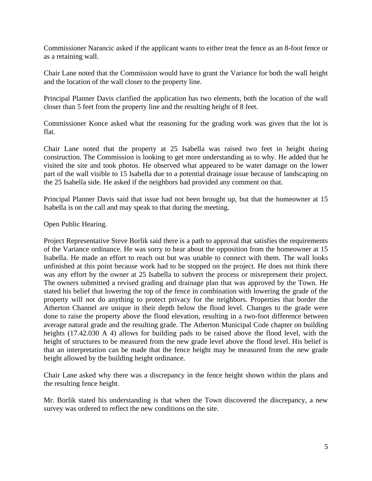Commissioner Narancic asked if the applicant wants to either treat the fence as an 8-foot fence or as a retaining wall.

Chair Lane noted that the Commission would have to grant the Variance for both the wall height and the location of the wall closer to the property line.

Principal Planner Davis clarified the application has two elements, both the location of the wall closer than 5 feet from the property line and the resulting height of 8 feet.

Commissioner Konce asked what the reasoning for the grading work was given that the lot is flat.

Chair Lane noted that the property at 25 Isabella was raised two feet in height during construction. The Commission is looking to get more understanding as to why. He added that he visited the site and took photos. He observed what appeared to be water damage on the lower part of the wall visible to 15 Isabella due to a potential drainage issue because of landscaping on the 25 Isabella side. He asked if the neighbors had provided any comment on that.

Principal Planner Davis said that issue had not been brought up, but that the homeowner at 15 Isabella is on the call and may speak to that during the meeting.

#### Open Public Hearing.

Project Representative Steve Borlik said there is a path to approval that satisfies the requirements of the Variance ordinance. He was sorry to hear about the opposition from the homeowner at 15 Isabella. He made an effort to reach out but was unable to connect with them. The wall looks unfinished at this point because work had to be stopped on the project. He does not think there was any effort by the owner at 25 Isabella to subvert the process or misrepresent their project. The owners submitted a revised grading and drainage plan that was approved by the Town. He stated his belief that lowering the top of the fence in combination with lowering the grade of the property will not do anything to protect privacy for the neighbors. Properties that border the Atherton Channel are unique in their depth below the flood level. Changes to the grade were done to raise the property above the flood elevation, resulting in a two-foot difference between average natural grade and the resulting grade. The Atherton Municipal Code chapter on building heights (17.42.030 A 4) allows for building pads to be raised above the flood level, with the height of structures to be measured from the new grade level above the flood level. His belief is that an interpretation can be made that the fence height may be measured from the new grade height allowed by the building height ordinance.

Chair Lane asked why there was a discrepancy in the fence height shown within the plans and the resulting fence height.

Mr. Borlik stated his understanding is that when the Town discovered the discrepancy, a new survey was ordered to reflect the new conditions on the site.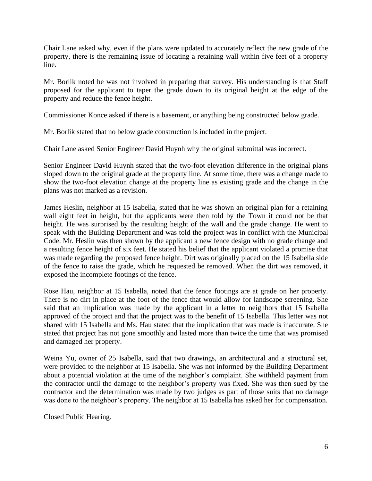Chair Lane asked why, even if the plans were updated to accurately reflect the new grade of the property, there is the remaining issue of locating a retaining wall within five feet of a property line.

Mr. Borlik noted he was not involved in preparing that survey. His understanding is that Staff proposed for the applicant to taper the grade down to its original height at the edge of the property and reduce the fence height.

Commissioner Konce asked if there is a basement, or anything being constructed below grade.

Mr. Borlik stated that no below grade construction is included in the project.

Chair Lane asked Senior Engineer David Huynh why the original submittal was incorrect.

Senior Engineer David Huynh stated that the two-foot elevation difference in the original plans sloped down to the original grade at the property line. At some time, there was a change made to show the two-foot elevation change at the property line as existing grade and the change in the plans was not marked as a revision.

James Heslin, neighbor at 15 Isabella, stated that he was shown an original plan for a retaining wall eight feet in height, but the applicants were then told by the Town it could not be that height. He was surprised by the resulting height of the wall and the grade change. He went to speak with the Building Department and was told the project was in conflict with the Municipal Code. Mr. Heslin was then shown by the applicant a new fence design with no grade change and a resulting fence height of six feet. He stated his belief that the applicant violated a promise that was made regarding the proposed fence height. Dirt was originally placed on the 15 Isabella side of the fence to raise the grade, which he requested be removed. When the dirt was removed, it exposed the incomplete footings of the fence.

Rose Hau, neighbor at 15 Isabella, noted that the fence footings are at grade on her property. There is no dirt in place at the foot of the fence that would allow for landscape screening. She said that an implication was made by the applicant in a letter to neighbors that 15 Isabella approved of the project and that the project was to the benefit of 15 Isabella. This letter was not shared with 15 Isabella and Ms. Hau stated that the implication that was made is inaccurate. She stated that project has not gone smoothly and lasted more than twice the time that was promised and damaged her property.

Weina Yu, owner of 25 Isabella, said that two drawings, an architectural and a structural set, were provided to the neighbor at 15 Isabella. She was not informed by the Building Department about a potential violation at the time of the neighbor's complaint. She withheld payment from the contractor until the damage to the neighbor's property was fixed. She was then sued by the contractor and the determination was made by two judges as part of those suits that no damage was done to the neighbor's property. The neighbor at 15 Isabella has asked her for compensation.

Closed Public Hearing.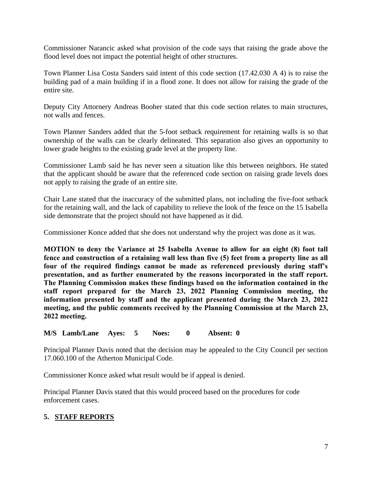Commissioner Narancic asked what provision of the code says that raising the grade above the flood level does not impact the potential height of other structures.

Town Planner Lisa Costa Sanders said intent of this code section (17.42.030 A 4) is to raise the building pad of a main building if in a flood zone. It does not allow for raising the grade of the entire site.

Deputy City Attornery Andreas Booher stated that this code section relates to main structures, not walls and fences.

Town Planner Sanders added that the 5-foot setback requirement for retaining walls is so that ownership of the walls can be clearly delineated. This separation also gives an opportunity to lower grade heights to the existing grade level at the property line.

Commissioner Lamb said he has never seen a situation like this between neighbors. He stated that the applicant should be aware that the referenced code section on raising grade levels does not apply to raising the grade of an entire site.

Chair Lane stated that the inaccuracy of the submitted plans, not including the five-foot setback for the retaining wall, and the lack of capability to relieve the look of the fence on the 15 Isabella side demonstrate that the project should not have happened as it did.

Commissioner Konce added that she does not understand why the project was done as it was.

**MOTION to deny the Variance at 25 Isabella Avenue to allow for an eight (8) foot tall fence and construction of a retaining wall less than five (5) feet from a property line as all four of the required findings cannot be made as referenced previously during staff's presentation, and as further enumerated by the reasons incorporated in the staff report. The Planning Commission makes these findings based on the information contained in the staff report prepared for the March 23, 2022 Planning Commission meeting, the information presented by staff and the applicant presented during the March 23, 2022 meeting, and the public comments received by the Planning Commission at the March 23, 2022 meeting.**

**M/S Lamb/Lane Ayes: 5 Noes: 0 Absent: 0**

Principal Planner Davis noted that the decision may be appealed to the City Council per section 17.060.100 of the Atherton Municipal Code.

Commissioner Konce asked what result would be if appeal is denied.

Principal Planner Davis stated that this would proceed based on the procedures for code enforcement cases.

# **5. STAFF REPORTS**